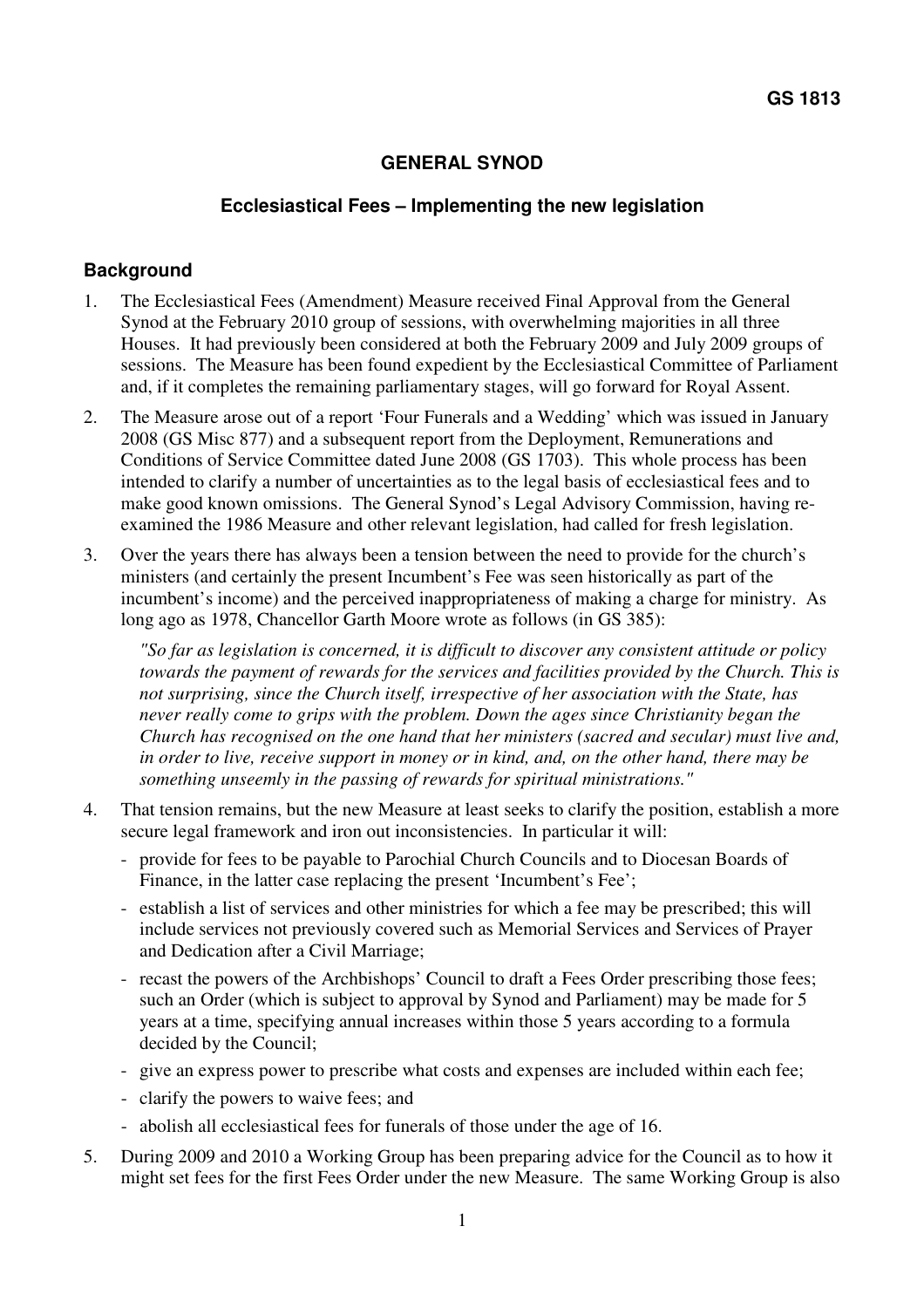### **GENERAL SYNOD**

### **Ecclesiastical Fees – Implementing the new legislation**

#### **Background**

- 1. The Ecclesiastical Fees (Amendment) Measure received Final Approval from the General Synod at the February 2010 group of sessions, with overwhelming majorities in all three Houses. It had previously been considered at both the February 2009 and July 2009 groups of sessions. The Measure has been found expedient by the Ecclesiastical Committee of Parliament and, if it completes the remaining parliamentary stages, will go forward for Royal Assent.
- 2. The Measure arose out of a report 'Four Funerals and a Wedding' which was issued in January 2008 (GS Misc 877) and a subsequent report from the Deployment, Remunerations and Conditions of Service Committee dated June 2008 (GS 1703). This whole process has been intended to clarify a number of uncertainties as to the legal basis of ecclesiastical fees and to make good known omissions. The General Synod's Legal Advisory Commission, having reexamined the 1986 Measure and other relevant legislation, had called for fresh legislation.
- 3. Over the years there has always been a tension between the need to provide for the church's ministers (and certainly the present Incumbent's Fee was seen historically as part of the incumbent's income) and the perceived inappropriateness of making a charge for ministry. As long ago as 1978, Chancellor Garth Moore wrote as follows (in GS 385):

*"So far as legislation is concerned, it is difficult to discover any consistent attitude or policy towards the payment of rewards for the services and facilities provided by the Church. This is not surprising, since the Church itself, irrespective of her association with the State, has never really come to grips with the problem. Down the ages since Christianity began the Church has recognised on the one hand that her ministers (sacred and secular) must live and, in order to live, receive support in money or in kind, and, on the other hand, there may be something unseemly in the passing of rewards for spiritual ministrations."* 

- 4. That tension remains, but the new Measure at least seeks to clarify the position, establish a more secure legal framework and iron out inconsistencies. In particular it will:
	- provide for fees to be payable to Parochial Church Councils and to Diocesan Boards of Finance, in the latter case replacing the present 'Incumbent's Fee';
	- establish a list of services and other ministries for which a fee may be prescribed; this will include services not previously covered such as Memorial Services and Services of Prayer and Dedication after a Civil Marriage;
	- recast the powers of the Archbishops' Council to draft a Fees Order prescribing those fees; such an Order (which is subject to approval by Synod and Parliament) may be made for 5 years at a time, specifying annual increases within those 5 years according to a formula decided by the Council;
	- give an express power to prescribe what costs and expenses are included within each fee;
	- clarify the powers to waive fees; and
	- abolish all ecclesiastical fees for funerals of those under the age of 16.
- 5. During 2009 and 2010 a Working Group has been preparing advice for the Council as to how it might set fees for the first Fees Order under the new Measure. The same Working Group is also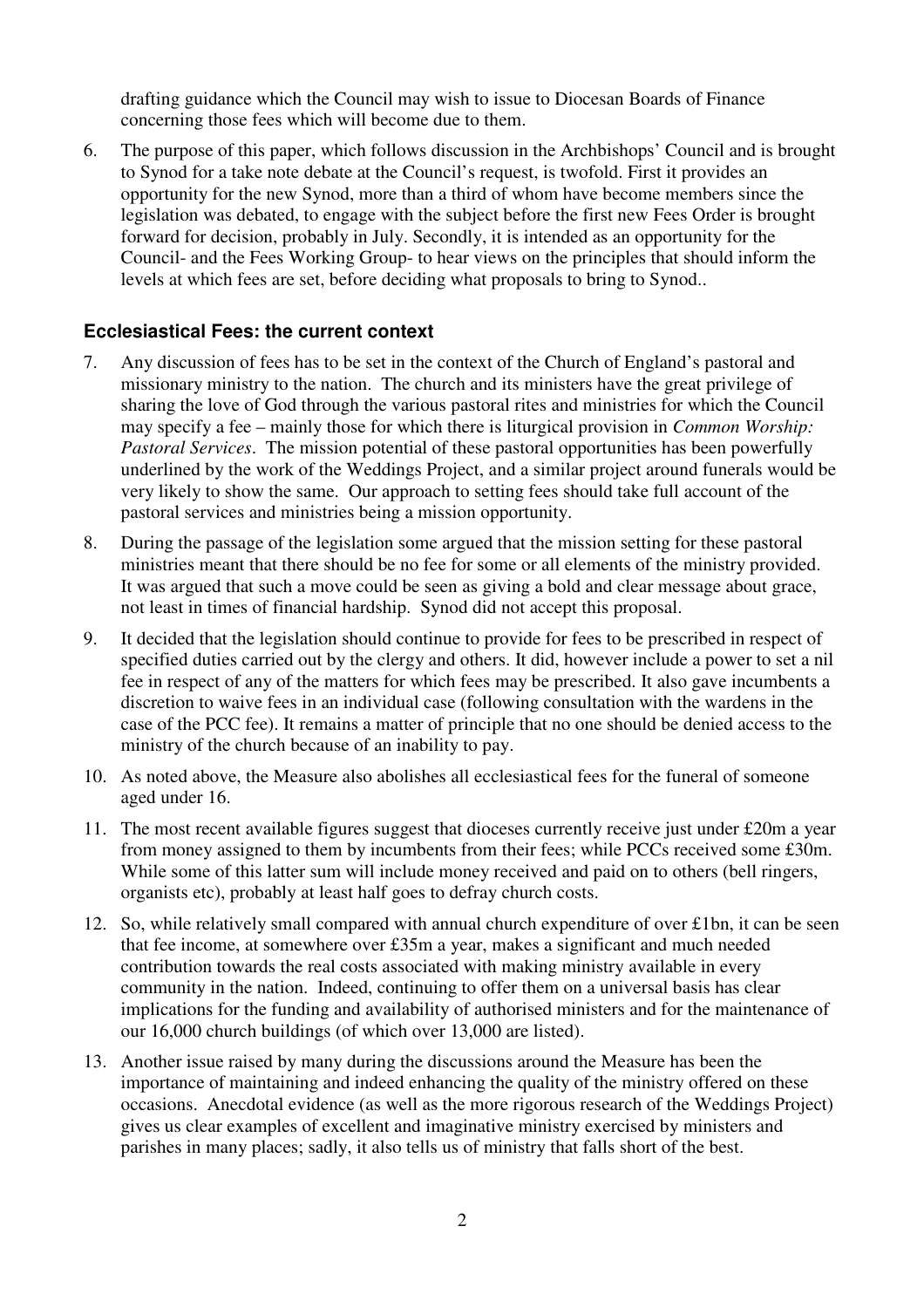drafting guidance which the Council may wish to issue to Diocesan Boards of Finance concerning those fees which will become due to them.

6. The purpose of this paper, which follows discussion in the Archbishops' Council and is brought to Synod for a take note debate at the Council's request, is twofold. First it provides an opportunity for the new Synod, more than a third of whom have become members since the legislation was debated, to engage with the subject before the first new Fees Order is brought forward for decision, probably in July. Secondly, it is intended as an opportunity for the Council- and the Fees Working Group- to hear views on the principles that should inform the levels at which fees are set, before deciding what proposals to bring to Synod..

#### **Ecclesiastical Fees: the current context**

- 7. Any discussion of fees has to be set in the context of the Church of England's pastoral and missionary ministry to the nation. The church and its ministers have the great privilege of sharing the love of God through the various pastoral rites and ministries for which the Council may specify a fee – mainly those for which there is liturgical provision in *Common Worship: Pastoral Services*. The mission potential of these pastoral opportunities has been powerfully underlined by the work of the Weddings Project, and a similar project around funerals would be very likely to show the same. Our approach to setting fees should take full account of the pastoral services and ministries being a mission opportunity.
- 8. During the passage of the legislation some argued that the mission setting for these pastoral ministries meant that there should be no fee for some or all elements of the ministry provided. It was argued that such a move could be seen as giving a bold and clear message about grace, not least in times of financial hardship. Synod did not accept this proposal.
- 9. It decided that the legislation should continue to provide for fees to be prescribed in respect of specified duties carried out by the clergy and others. It did, however include a power to set a nil fee in respect of any of the matters for which fees may be prescribed. It also gave incumbents a discretion to waive fees in an individual case (following consultation with the wardens in the case of the PCC fee). It remains a matter of principle that no one should be denied access to the ministry of the church because of an inability to pay.
- 10. As noted above, the Measure also abolishes all ecclesiastical fees for the funeral of someone aged under 16.
- 11. The most recent available figures suggest that dioceses currently receive just under £20m a year from money assigned to them by incumbents from their fees; while PCCs received some £30m. While some of this latter sum will include money received and paid on to others (bell ringers, organists etc), probably at least half goes to defray church costs.
- 12. So, while relatively small compared with annual church expenditure of over £1bn, it can be seen that fee income, at somewhere over £35m a year, makes a significant and much needed contribution towards the real costs associated with making ministry available in every community in the nation. Indeed, continuing to offer them on a universal basis has clear implications for the funding and availability of authorised ministers and for the maintenance of our 16,000 church buildings (of which over 13,000 are listed).
- 13. Another issue raised by many during the discussions around the Measure has been the importance of maintaining and indeed enhancing the quality of the ministry offered on these occasions. Anecdotal evidence (as well as the more rigorous research of the Weddings Project) gives us clear examples of excellent and imaginative ministry exercised by ministers and parishes in many places; sadly, it also tells us of ministry that falls short of the best.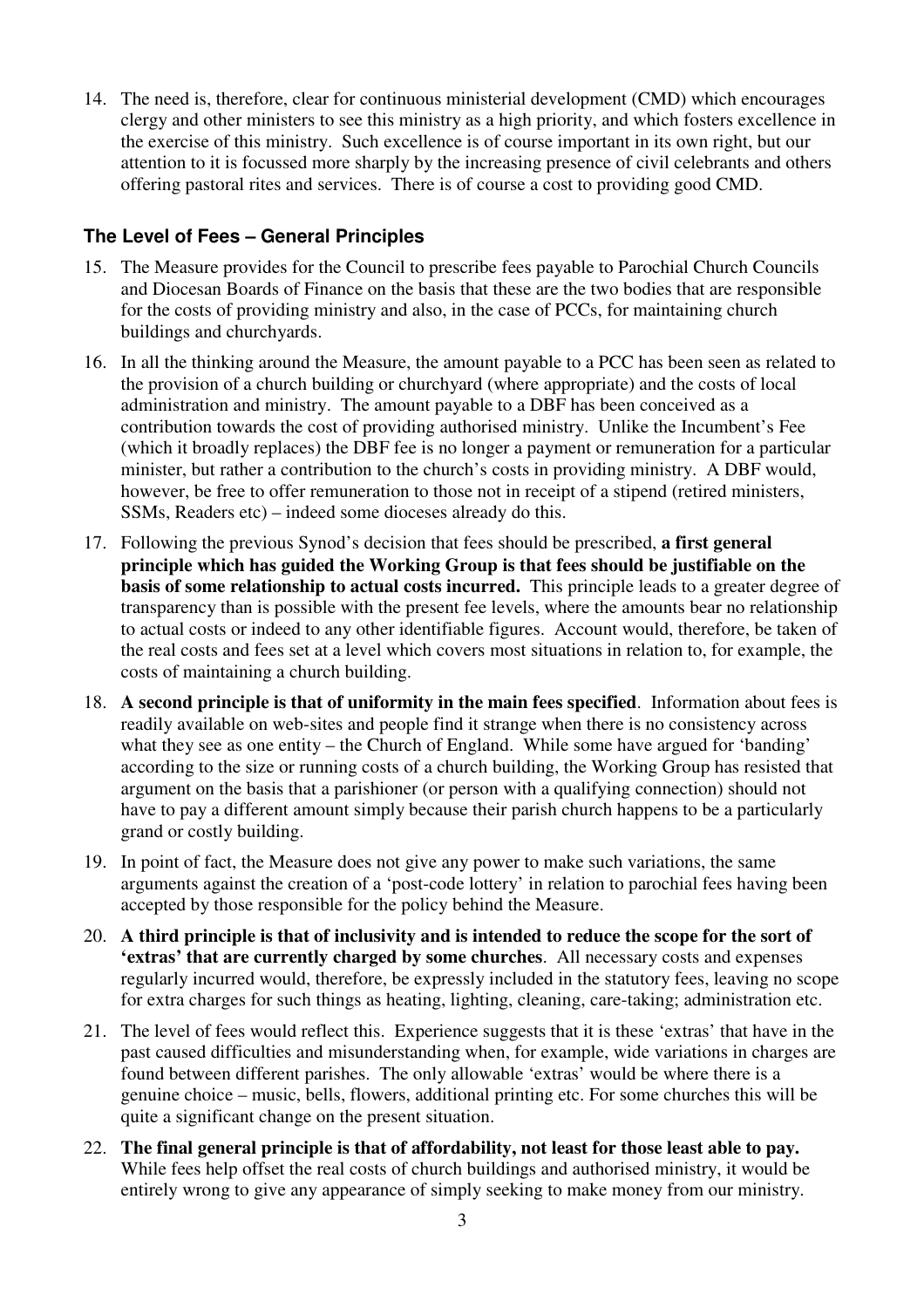14. The need is, therefore, clear for continuous ministerial development (CMD) which encourages clergy and other ministers to see this ministry as a high priority, and which fosters excellence in the exercise of this ministry. Such excellence is of course important in its own right, but our attention to it is focussed more sharply by the increasing presence of civil celebrants and others offering pastoral rites and services. There is of course a cost to providing good CMD.

## **The Level of Fees – General Principles**

- 15. The Measure provides for the Council to prescribe fees payable to Parochial Church Councils and Diocesan Boards of Finance on the basis that these are the two bodies that are responsible for the costs of providing ministry and also, in the case of PCCs, for maintaining church buildings and churchyards.
- 16. In all the thinking around the Measure, the amount payable to a PCC has been seen as related to the provision of a church building or churchyard (where appropriate) and the costs of local administration and ministry. The amount payable to a DBF has been conceived as a contribution towards the cost of providing authorised ministry. Unlike the Incumbent's Fee (which it broadly replaces) the DBF fee is no longer a payment or remuneration for a particular minister, but rather a contribution to the church's costs in providing ministry. A DBF would, however, be free to offer remuneration to those not in receipt of a stipend (retired ministers, SSMs, Readers etc) – indeed some dioceses already do this.
- 17. Following the previous Synod's decision that fees should be prescribed, **a first general principle which has guided the Working Group is that fees should be justifiable on the basis of some relationship to actual costs incurred.** This principle leads to a greater degree of transparency than is possible with the present fee levels, where the amounts bear no relationship to actual costs or indeed to any other identifiable figures. Account would, therefore, be taken of the real costs and fees set at a level which covers most situations in relation to, for example, the costs of maintaining a church building.
- 18. **A second principle is that of uniformity in the main fees specified**. Information about fees is readily available on web-sites and people find it strange when there is no consistency across what they see as one entity – the Church of England. While some have argued for 'banding' according to the size or running costs of a church building, the Working Group has resisted that argument on the basis that a parishioner (or person with a qualifying connection) should not have to pay a different amount simply because their parish church happens to be a particularly grand or costly building.
- 19. In point of fact, the Measure does not give any power to make such variations, the same arguments against the creation of a 'post-code lottery' in relation to parochial fees having been accepted by those responsible for the policy behind the Measure.
- 20. **A third principle is that of inclusivity and is intended to reduce the scope for the sort of 'extras' that are currently charged by some churches**. All necessary costs and expenses regularly incurred would, therefore, be expressly included in the statutory fees, leaving no scope for extra charges for such things as heating, lighting, cleaning, care-taking; administration etc.
- 21. The level of fees would reflect this. Experience suggests that it is these 'extras' that have in the past caused difficulties and misunderstanding when, for example, wide variations in charges are found between different parishes. The only allowable 'extras' would be where there is a genuine choice – music, bells, flowers, additional printing etc. For some churches this will be quite a significant change on the present situation.
- 22. **The final general principle is that of affordability, not least for those least able to pay.** While fees help offset the real costs of church buildings and authorised ministry, it would be entirely wrong to give any appearance of simply seeking to make money from our ministry.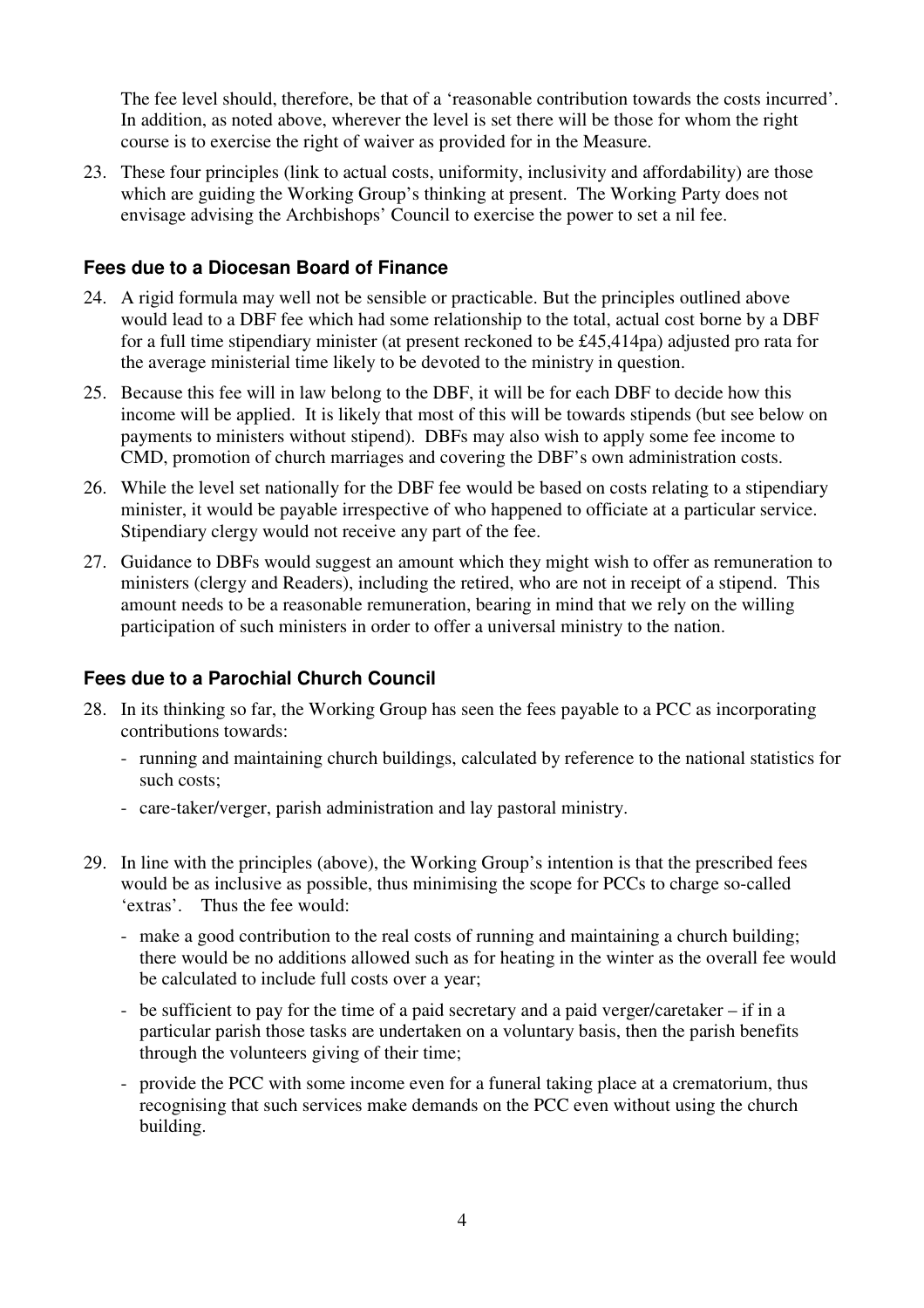The fee level should, therefore, be that of a 'reasonable contribution towards the costs incurred'. In addition, as noted above, wherever the level is set there will be those for whom the right course is to exercise the right of waiver as provided for in the Measure.

23. These four principles (link to actual costs, uniformity, inclusivity and affordability) are those which are guiding the Working Group's thinking at present. The Working Party does not envisage advising the Archbishops' Council to exercise the power to set a nil fee.

#### **Fees due to a Diocesan Board of Finance**

- 24. A rigid formula may well not be sensible or practicable. But the principles outlined above would lead to a DBF fee which had some relationship to the total, actual cost borne by a DBF for a full time stipendiary minister (at present reckoned to be £45,414pa) adjusted pro rata for the average ministerial time likely to be devoted to the ministry in question.
- 25. Because this fee will in law belong to the DBF, it will be for each DBF to decide how this income will be applied. It is likely that most of this will be towards stipends (but see below on payments to ministers without stipend). DBFs may also wish to apply some fee income to CMD, promotion of church marriages and covering the DBF's own administration costs.
- 26. While the level set nationally for the DBF fee would be based on costs relating to a stipendiary minister, it would be payable irrespective of who happened to officiate at a particular service. Stipendiary clergy would not receive any part of the fee.
- 27. Guidance to DBFs would suggest an amount which they might wish to offer as remuneration to ministers (clergy and Readers), including the retired, who are not in receipt of a stipend. This amount needs to be a reasonable remuneration, bearing in mind that we rely on the willing participation of such ministers in order to offer a universal ministry to the nation.

### **Fees due to a Parochial Church Council**

- 28. In its thinking so far, the Working Group has seen the fees payable to a PCC as incorporating contributions towards:
	- running and maintaining church buildings, calculated by reference to the national statistics for such costs;
	- care-taker/verger, parish administration and lay pastoral ministry.
- 29. In line with the principles (above), the Working Group's intention is that the prescribed fees would be as inclusive as possible, thus minimising the scope for PCCs to charge so-called 'extras'. Thus the fee would:
	- make a good contribution to the real costs of running and maintaining a church building; there would be no additions allowed such as for heating in the winter as the overall fee would be calculated to include full costs over a year;
	- be sufficient to pay for the time of a paid secretary and a paid verger/caretaker if in a particular parish those tasks are undertaken on a voluntary basis, then the parish benefits through the volunteers giving of their time;
	- provide the PCC with some income even for a funeral taking place at a crematorium, thus recognising that such services make demands on the PCC even without using the church building.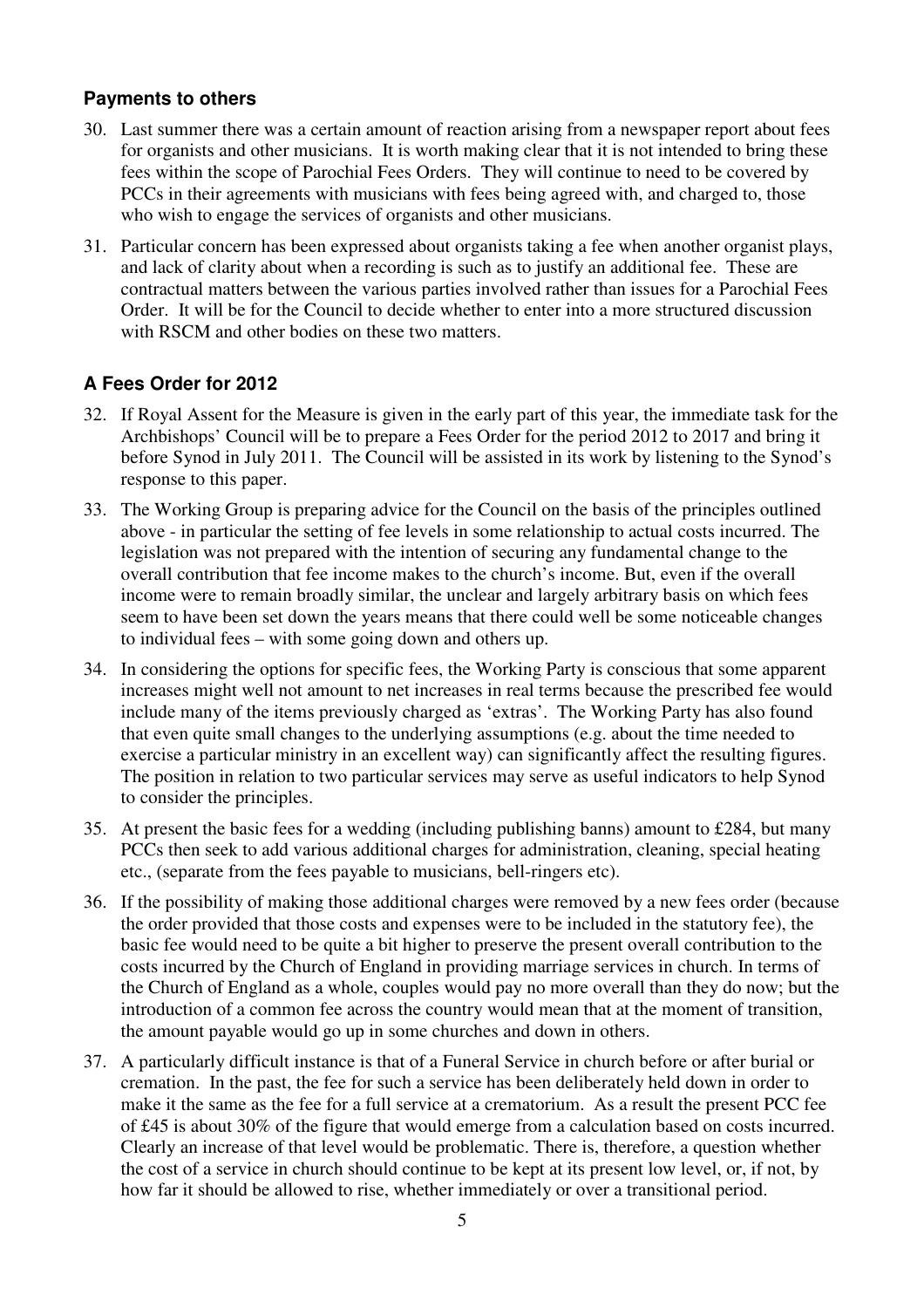#### **Payments to others**

- 30. Last summer there was a certain amount of reaction arising from a newspaper report about fees for organists and other musicians. It is worth making clear that it is not intended to bring these fees within the scope of Parochial Fees Orders. They will continue to need to be covered by PCCs in their agreements with musicians with fees being agreed with, and charged to, those who wish to engage the services of organists and other musicians.
- 31. Particular concern has been expressed about organists taking a fee when another organist plays, and lack of clarity about when a recording is such as to justify an additional fee. These are contractual matters between the various parties involved rather than issues for a Parochial Fees Order. It will be for the Council to decide whether to enter into a more structured discussion with RSCM and other bodies on these two matters.

#### **A Fees Order for 2012**

- 32. If Royal Assent for the Measure is given in the early part of this year, the immediate task for the Archbishops' Council will be to prepare a Fees Order for the period 2012 to 2017 and bring it before Synod in July 2011. The Council will be assisted in its work by listening to the Synod's response to this paper.
- 33. The Working Group is preparing advice for the Council on the basis of the principles outlined above - in particular the setting of fee levels in some relationship to actual costs incurred. The legislation was not prepared with the intention of securing any fundamental change to the overall contribution that fee income makes to the church's income. But, even if the overall income were to remain broadly similar, the unclear and largely arbitrary basis on which fees seem to have been set down the years means that there could well be some noticeable changes to individual fees – with some going down and others up.
- 34. In considering the options for specific fees, the Working Party is conscious that some apparent increases might well not amount to net increases in real terms because the prescribed fee would include many of the items previously charged as 'extras'. The Working Party has also found that even quite small changes to the underlying assumptions (e.g. about the time needed to exercise a particular ministry in an excellent way) can significantly affect the resulting figures. The position in relation to two particular services may serve as useful indicators to help Synod to consider the principles.
- 35. At present the basic fees for a wedding (including publishing banns) amount to £284, but many PCCs then seek to add various additional charges for administration, cleaning, special heating etc., (separate from the fees payable to musicians, bell-ringers etc).
- 36. If the possibility of making those additional charges were removed by a new fees order (because the order provided that those costs and expenses were to be included in the statutory fee), the basic fee would need to be quite a bit higher to preserve the present overall contribution to the costs incurred by the Church of England in providing marriage services in church. In terms of the Church of England as a whole, couples would pay no more overall than they do now; but the introduction of a common fee across the country would mean that at the moment of transition, the amount payable would go up in some churches and down in others.
- 37. A particularly difficult instance is that of a Funeral Service in church before or after burial or cremation. In the past, the fee for such a service has been deliberately held down in order to make it the same as the fee for a full service at a crematorium. As a result the present PCC fee of £45 is about 30% of the figure that would emerge from a calculation based on costs incurred. Clearly an increase of that level would be problematic. There is, therefore, a question whether the cost of a service in church should continue to be kept at its present low level, or, if not, by how far it should be allowed to rise, whether immediately or over a transitional period.